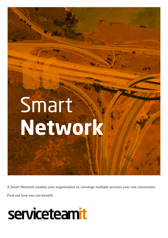# Smart **Network**

**A Smart Network enables your organisation to converge multiple services over one connection.**

**Find out how you can benefit.**

# serviceteamit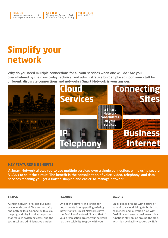#### **ONLINE** www.serviceteamit.co.uk smart@serviceteamit.co.uk ADDRESS Birmingham Research Park 97 Vincent Drive, B15 2SQ TELEPHONE 0121 468 0101

### **Simplify your network**

**Why do you need multiple connections for all your services when one will do? Are you overwhelmed by the day-to-day technical and administrative burden placed upon your staff by different, disparate connections and networks? Smart Network is your answer.**



#### KEY FEATURES & BENEFITS

**A Smart Network allows you to use multiple services over a single connection, while using secure VLANs to split the circuit. The benefit is the consolidation of voice, video, telephony, and data services meaning you get a flatter, simpler, and easier-to-manage network.**

#### SIMPLE

A smart network provides business grade, end-to-end fibre connectivity and nothing less. Connect with a simple plug and play installation process that reduces switching costs, and the technical and administrative burden.

#### FLEXIBLE

One of the primary challenges for IT departments is in upgrading existing infrastructure. Smart Networks have the flexibility & extensibility so that if your organisation grows, your network has the scalability to grow with you.

#### **SECURE**

Enjoy peace of mind with secure private virtual cloud. Mitigate both cost challenges and migration risks with flexibility and ensure business-critical functions stay online around the clock with high avaliability backed by SLAs.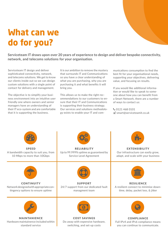## **What can we do for you?**

**Serviceteam IT draws upon over 20 years of experience to design and deliver bespoke connectivity, network, and telecoms solutions for your organisation.**

Serviceteam IT design and deliver sophisticated connectivity, network, and telecoms solutions. We get to know our clients inside out so we can design custom solutions with a single point of contact for delivery and management.

The objective is to simplify your business environment into an intuitive user friendly one where owners and senior managers have an understanding of their IT eco-system and are comfortable that it is supporting the business.

It is our ambition to remove the mystery that surrounds IT and Communications so you have a clear understanding of what you are purchasing, why you are purchasing it and what benefits it will bring you.

This allows us to make the right recommendations to our customers to ensure that their IT and Communications is supporting their business strategy. Our services and solutions methodology exists to enable your IT and communications consumption to find the best fit for your organisational needs, supporting your objectives, delivering value, and focusing on results.

If you would like additional information or would like to speak to someone about how you can benefit from a Smart Network, there are a number of ways to contact us:

 0121 468 0101 smart@serviceteamit.co.uk